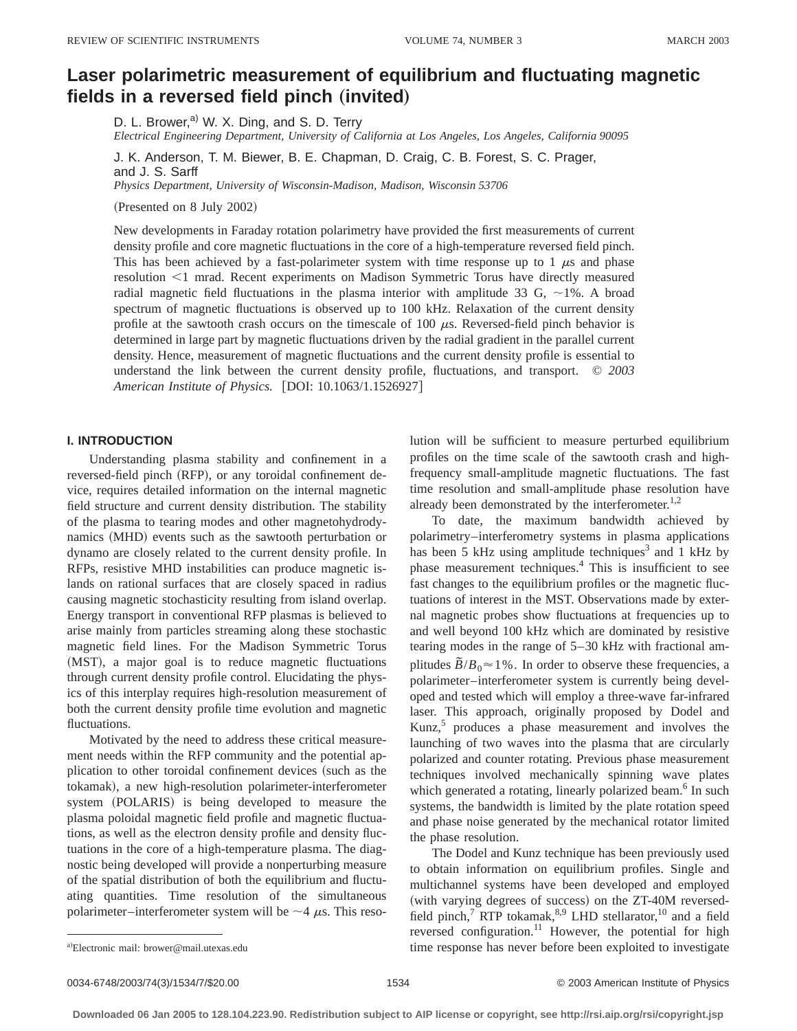# **Laser polarimetric measurement of equilibrium and fluctuating magnetic** fields in a reversed field pinch (invited)

D. L. Brower,<sup>a)</sup> W. X. Ding, and S. D. Terry

*Electrical Engineering Department, University of California at Los Angeles, Los Angeles, California 90095*

J. K. Anderson, T. M. Biewer, B. E. Chapman, D. Craig, C. B. Forest, S. C. Prager, and J. S. Sarff

*Physics Department, University of Wisconsin-Madison, Madison, Wisconsin 53706*

(Presented on 8 July 2002)

New developments in Faraday rotation polarimetry have provided the first measurements of current density profile and core magnetic fluctuations in the core of a high-temperature reversed field pinch. This has been achieved by a fast-polarimeter system with time response up to 1  $\mu$ s and phase resolution <1 mrad. Recent experiments on Madison Symmetric Torus have directly measured radial magnetic field fluctuations in the plasma interior with amplitude 33 G,  $\sim$ 1%. A broad spectrum of magnetic fluctuations is observed up to 100 kHz. Relaxation of the current density profile at the sawtooth crash occurs on the timescale of 100  $\mu$ s. Reversed-field pinch behavior is determined in large part by magnetic fluctuations driven by the radial gradient in the parallel current density. Hence, measurement of magnetic fluctuations and the current density profile is essential to understand the link between the current density profile, fluctuations, and transport. © *2003 American Institute of Physics.* [DOI: 10.1063/1.1526927]

## **I. INTRODUCTION**

Understanding plasma stability and confinement in a reversed-field pinch (RFP), or any toroidal confinement device, requires detailed information on the internal magnetic field structure and current density distribution. The stability of the plasma to tearing modes and other magnetohydrodynamics (MHD) events such as the sawtooth perturbation or dynamo are closely related to the current density profile. In RFPs, resistive MHD instabilities can produce magnetic islands on rational surfaces that are closely spaced in radius causing magnetic stochasticity resulting from island overlap. Energy transport in conventional RFP plasmas is believed to arise mainly from particles streaming along these stochastic magnetic field lines. For the Madison Symmetric Torus (MST), a major goal is to reduce magnetic fluctuations through current density profile control. Elucidating the physics of this interplay requires high-resolution measurement of both the current density profile time evolution and magnetic fluctuations.

Motivated by the need to address these critical measurement needs within the RFP community and the potential application to other toroidal confinement devices (such as the tokamak), a new high-resolution polarimeter-interferometer system (POLARIS) is being developed to measure the plasma poloidal magnetic field profile and magnetic fluctuations, as well as the electron density profile and density fluctuations in the core of a high-temperature plasma. The diagnostic being developed will provide a nonperturbing measure of the spatial distribution of both the equilibrium and fluctuating quantities. Time resolution of the simultaneous polarimeter–interferometer system will be  $\sim$  4  $\mu$ s. This resolution will be sufficient to measure perturbed equilibrium profiles on the time scale of the sawtooth crash and highfrequency small-amplitude magnetic fluctuations. The fast time resolution and small-amplitude phase resolution have already been demonstrated by the interferometer. $^{1,2}$ 

To date, the maximum bandwidth achieved by polarimetry–interferometry systems in plasma applications has been 5 kHz using amplitude techniques<sup>3</sup> and 1 kHz by phase measurement techniques.4 This is insufficient to see fast changes to the equilibrium profiles or the magnetic fluctuations of interest in the MST. Observations made by external magnetic probes show fluctuations at frequencies up to and well beyond 100 kHz which are dominated by resistive tearing modes in the range of 5–30 kHz with fractional amplitudes  $\overline{B}/B_0 \approx 1\%$ . In order to observe these frequencies, a polarimeter–interferometer system is currently being developed and tested which will employ a three-wave far-infrared laser. This approach, originally proposed by Dodel and Kunz,<sup>5</sup> produces a phase measurement and involves the launching of two waves into the plasma that are circularly polarized and counter rotating. Previous phase measurement techniques involved mechanically spinning wave plates which generated a rotating, linearly polarized beam.<sup>6</sup> In such systems, the bandwidth is limited by the plate rotation speed and phase noise generated by the mechanical rotator limited the phase resolution.

The Dodel and Kunz technique has been previously used to obtain information on equilibrium profiles. Single and multichannel systems have been developed and employed (with varying degrees of success) on the ZT-40M reversedfield pinch,<sup>7</sup> RTP tokamak,  $8.9$  LHD stellarator,  $10$  and a field reversed configuration.<sup>11</sup> However, the potential for high time response has never before been exploited to investigate

Electronic mail: brower@mail.utexas.edu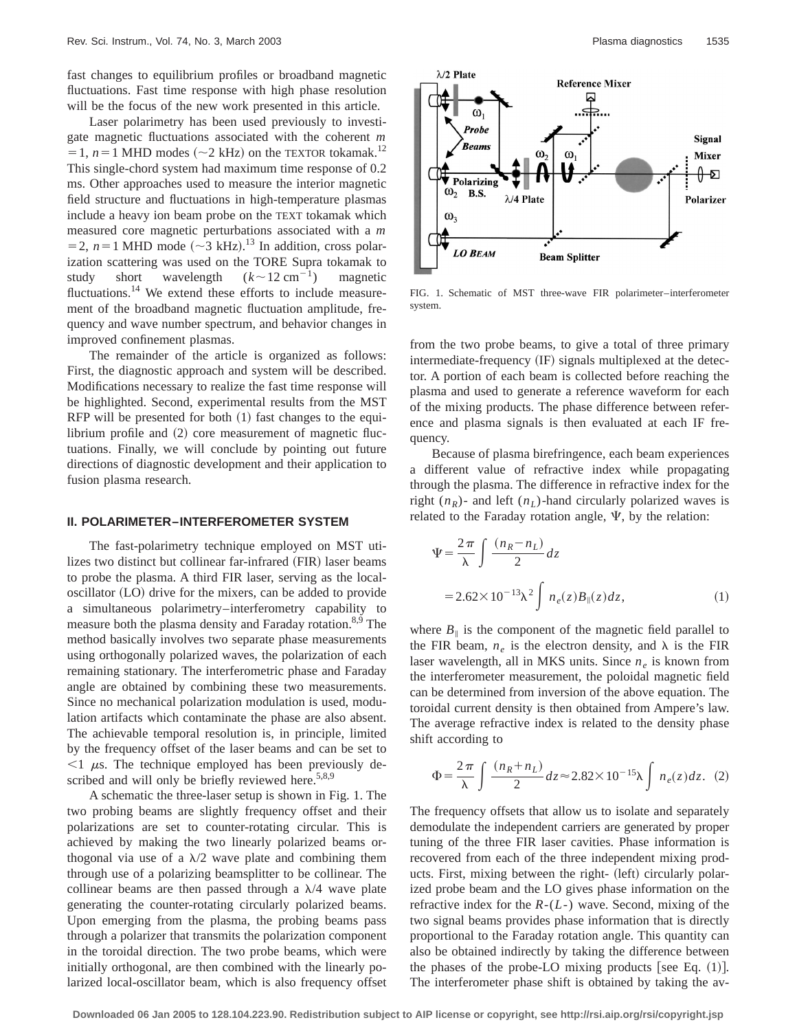fast changes to equilibrium profiles or broadband magnetic fluctuations. Fast time response with high phase resolution will be the focus of the new work presented in this article.

Laser polarimetry has been used previously to investigate magnetic fluctuations associated with the coherent *m*  $=1$ ,  $n=1$  MHD modes ( $\sim$ 2 kHz) on the TEXTOR tokamak.<sup>12</sup> This single-chord system had maximum time response of 0.2 ms. Other approaches used to measure the interior magnetic field structure and fluctuations in high-temperature plasmas include a heavy ion beam probe on the TEXT tokamak which measured core magnetic perturbations associated with a *m*  $=$  2, *n* = 1 MHD mode ( $\sim$ 3 kHz).<sup>13</sup> In addition, cross polarization scattering was used on the TORE Supra tokamak to study short wavelength  $(k \sim 12 \text{ cm}^{-1})$  magnetic fluctuations.<sup>14</sup> We extend these efforts to include measurement of the broadband magnetic fluctuation amplitude, frequency and wave number spectrum, and behavior changes in improved confinement plasmas.

The remainder of the article is organized as follows: First, the diagnostic approach and system will be described. Modifications necessary to realize the fast time response will be highlighted. Second, experimental results from the MST RFP will be presented for both  $(1)$  fast changes to the equilibrium profile and  $(2)$  core measurement of magnetic fluctuations. Finally, we will conclude by pointing out future directions of diagnostic development and their application to fusion plasma research.

#### **II. POLARIMETER–INTERFEROMETER SYSTEM**

The fast-polarimetry technique employed on MST utilizes two distinct but collinear far-infrared (FIR) laser beams to probe the plasma. A third FIR laser, serving as the localoscillator (LO) drive for the mixers, can be added to provide a simultaneous polarimetry–interferometry capability to measure both the plasma density and Faraday rotation.<sup>8,9</sup> The method basically involves two separate phase measurements using orthogonally polarized waves, the polarization of each remaining stationary. The interferometric phase and Faraday angle are obtained by combining these two measurements. Since no mechanical polarization modulation is used, modulation artifacts which contaminate the phase are also absent. The achievable temporal resolution is, in principle, limited by the frequency offset of the laser beams and can be set to  $\leq$ 1  $\mu$ s. The technique employed has been previously described and will only be briefly reviewed here. $5,8,9$ 

A schematic the three-laser setup is shown in Fig. 1. The two probing beams are slightly frequency offset and their polarizations are set to counter-rotating circular. This is achieved by making the two linearly polarized beams orthogonal via use of a  $\lambda/2$  wave plate and combining them through use of a polarizing beamsplitter to be collinear. The collinear beams are then passed through a  $\lambda/4$  wave plate generating the counter-rotating circularly polarized beams. Upon emerging from the plasma, the probing beams pass through a polarizer that transmits the polarization component in the toroidal direction. The two probe beams, which were initially orthogonal, are then combined with the linearly polarized local-oscillator beam, which is also frequency offset



FIG. 1. Schematic of MST three-wave FIR polarimeter–interferometer system.

from the two probe beams, to give a total of three primary intermediate-frequency (IF) signals multiplexed at the detector. A portion of each beam is collected before reaching the plasma and used to generate a reference waveform for each of the mixing products. The phase difference between reference and plasma signals is then evaluated at each IF frequency.

Because of plasma birefringence, each beam experiences a different value of refractive index while propagating through the plasma. The difference in refractive index for the right  $(n_R)$ - and left  $(n_L)$ -hand circularly polarized waves is related to the Faraday rotation angle,  $\Psi$ , by the relation:

$$
\Psi = \frac{2\pi}{\lambda} \int \frac{(n_R - n_L)}{2} dz
$$
  
= 2.62×10<sup>-13</sup> $\lambda^2$   $\int n_e(z) B_{\parallel}(z) dz$ , (1)

where  $B_{\parallel}$  is the component of the magnetic field parallel to the FIR beam,  $n_e$  is the electron density, and  $\lambda$  is the FIR laser wavelength, all in MKS units. Since  $n_e$  is known from the interferometer measurement, the poloidal magnetic field can be determined from inversion of the above equation. The toroidal current density is then obtained from Ampere's law. The average refractive index is related to the density phase shift according to

$$
\Phi = \frac{2\pi}{\lambda} \int \frac{(n_R + n_L)}{2} dz \approx 2.82 \times 10^{-15} \lambda \int n_e(z) dz. \tag{2}
$$

The frequency offsets that allow us to isolate and separately demodulate the independent carriers are generated by proper tuning of the three FIR laser cavities. Phase information is recovered from each of the three independent mixing products. First, mixing between the right- (left) circularly polarized probe beam and the LO gives phase information on the refractive index for the *R*-(*L*-) wave. Second, mixing of the two signal beams provides phase information that is directly proportional to the Faraday rotation angle. This quantity can also be obtained indirectly by taking the difference between the phases of the probe-LO mixing products [see Eq.  $(1)$ ]. The interferometer phase shift is obtained by taking the av-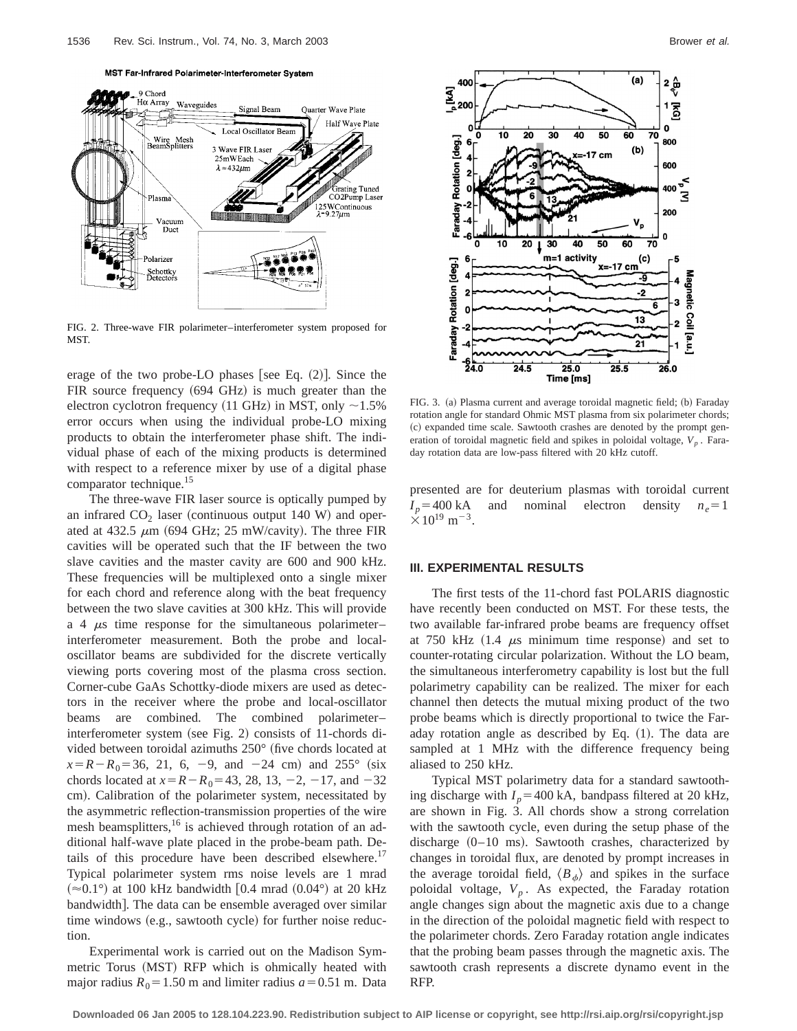MST Far-Infrared Polarimeter-Interferometer System



FIG. 2. Three-wave FIR polarimeter–interferometer system proposed for MST.

erage of the two probe-LO phases [see Eq.  $(2)$ ]. Since the FIR source frequency  $(694 \text{ GHz})$  is much greater than the electron cyclotron frequency (11 GHz) in MST, only  $\sim$ 1.5% error occurs when using the individual probe-LO mixing products to obtain the interferometer phase shift. The individual phase of each of the mixing products is determined with respect to a reference mixer by use of a digital phase comparator technique.<sup>15</sup>

The three-wave FIR laser source is optically pumped by an infrared  $CO<sub>2</sub>$  laser (continuous output 140 W) and operated at 432.5  $\mu$ m (694 GHz; 25 mW/cavity). The three FIR cavities will be operated such that the IF between the two slave cavities and the master cavity are 600 and 900 kHz. These frequencies will be multiplexed onto a single mixer for each chord and reference along with the beat frequency between the two slave cavities at 300 kHz. This will provide a 4  $\mu$ s time response for the simultaneous polarimeter– interferometer measurement. Both the probe and localoscillator beams are subdivided for the discrete vertically viewing ports covering most of the plasma cross section. Corner-cube GaAs Schottky-diode mixers are used as detectors in the receiver where the probe and local-oscillator beams are combined. The combined polarimeter– interferometer system (see Fig. 2) consists of 11-chords divided between toroidal azimuths  $250^{\circ}$  (five chords located at  $x=R-R_0=36$ , 21, 6, -9, and -24 cm) and 255° (six chords located at  $x=R-R_0=43, 28, 13, -2, -17,$  and  $-32$ cm). Calibration of the polarimeter system, necessitated by the asymmetric reflection-transmission properties of the wire mesh beamsplitters,<sup>16</sup> is achieved through rotation of an additional half-wave plate placed in the probe-beam path. Details of this procedure have been described elsewhere.<sup>17</sup> Typical polarimeter system rms noise levels are 1 mrad  $(\approx 0.1^{\circ})$  at 100 kHz bandwidth [0.4 mrad  $(0.04^{\circ})$  at 20 kHz bandwidth]. The data can be ensemble averaged over similar time windows  $(e.g., sawtooth cycle)$  for further noise reduction.

Experimental work is carried out on the Madison Symmetric Torus (MST) RFP which is ohmically heated with major radius  $R_0 = 1.50$  m and limiter radius  $a = 0.51$  m. Data



FIG. 3. (a) Plasma current and average toroidal magnetic field; (b) Faraday rotation angle for standard Ohmic MST plasma from six polarimeter chords; (c) expanded time scale. Sawtooth crashes are denoted by the prompt generation of toroidal magnetic field and spikes in poloidal voltage,  $V_p$ . Faraday rotation data are low-pass filtered with 20 kHz cutoff.

presented are for deuterium plasmas with toroidal current  $I_p$ =400 kA and nominal electron density  $n_e$ =1  $\times 10^{19}$  m<sup>-3</sup>.

#### **III. EXPERIMENTAL RESULTS**

The first tests of the 11-chord fast POLARIS diagnostic have recently been conducted on MST. For these tests, the two available far-infrared probe beams are frequency offset at 750 kHz  $(1.4 \mu s \text{ minimum time response})$  and set to counter-rotating circular polarization. Without the LO beam, the simultaneous interferometry capability is lost but the full polarimetry capability can be realized. The mixer for each channel then detects the mutual mixing product of the two probe beams which is directly proportional to twice the Faraday rotation angle as described by Eq.  $(1)$ . The data are sampled at 1 MHz with the difference frequency being aliased to 250 kHz.

Typical MST polarimetry data for a standard sawtoothing discharge with  $I_p$ =400 kA, bandpass filtered at 20 kHz, are shown in Fig. 3. All chords show a strong correlation with the sawtooth cycle, even during the setup phase of the discharge  $(0-10 \text{ ms})$ . Sawtooth crashes, characterized by changes in toroidal flux, are denoted by prompt increases in the average toroidal field,  $\langle B_{\phi} \rangle$  and spikes in the surface poloidal voltage,  $V_p$ . As expected, the Faraday rotation angle changes sign about the magnetic axis due to a change in the direction of the poloidal magnetic field with respect to the polarimeter chords. Zero Faraday rotation angle indicates that the probing beam passes through the magnetic axis. The sawtooth crash represents a discrete dynamo event in the RFP.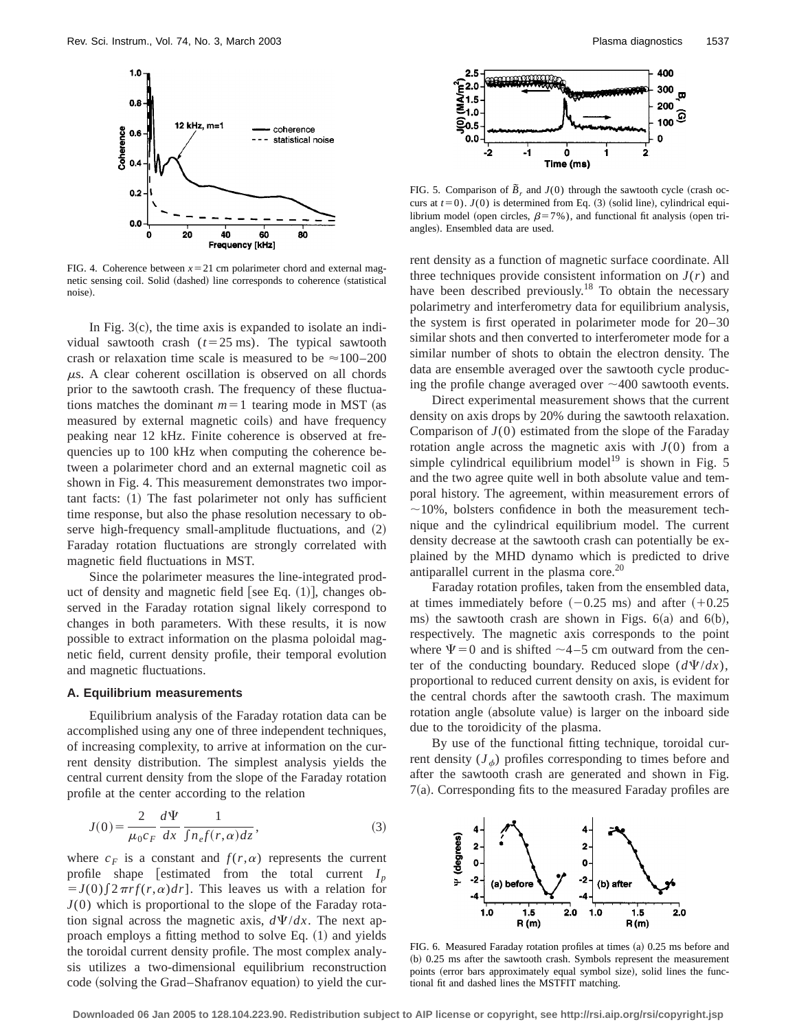

FIG. 4. Coherence between  $x=21$  cm polarimeter chord and external magnetic sensing coil. Solid (dashed) line corresponds to coherence (statistical noise).

In Fig.  $3(c)$ , the time axis is expanded to isolate an individual sawtooth crash  $(t=25 \text{ ms})$ . The typical sawtooth crash or relaxation time scale is measured to be  $\approx$  100–200  $\mu$ s. A clear coherent oscillation is observed on all chords prior to the sawtooth crash. The frequency of these fluctuations matches the dominant  $m=1$  tearing mode in MST (as measured by external magnetic coils) and have frequency peaking near 12 kHz. Finite coherence is observed at frequencies up to 100 kHz when computing the coherence between a polarimeter chord and an external magnetic coil as shown in Fig. 4. This measurement demonstrates two impor $tant facts: (1) The fast polarimeter not only has sufficient$ time response, but also the phase resolution necessary to observe high-frequency small-amplitude fluctuations, and  $(2)$ Faraday rotation fluctuations are strongly correlated with magnetic field fluctuations in MST.

Since the polarimeter measures the line-integrated product of density and magnetic field [see Eq.  $(1)$ ], changes observed in the Faraday rotation signal likely correspond to changes in both parameters. With these results, it is now possible to extract information on the plasma poloidal magnetic field, current density profile, their temporal evolution and magnetic fluctuations.

#### **A. Equilibrium measurements**

Equilibrium analysis of the Faraday rotation data can be accomplished using any one of three independent techniques, of increasing complexity, to arrive at information on the current density distribution. The simplest analysis yields the central current density from the slope of the Faraday rotation profile at the center according to the relation

$$
J(0) = \frac{2}{\mu_0 c_F} \frac{d\Psi}{dx} \frac{1}{\int n_e f(r, \alpha) dz},
$$
\n(3)

where  $c_F$  is a constant and  $f(r, \alpha)$  represents the current profile shape [estimated from the total current  $I_p$  $J(0)$   $[2 \pi r f(r, \alpha) dr]$ . This leaves us with a relation for *J*(0) which is proportional to the slope of the Faraday rotation signal across the magnetic axis,  $d\Psi/dx$ . The next approach employs a fitting method to solve Eq.  $(1)$  and yields the toroidal current density profile. The most complex analysis utilizes a two-dimensional equilibrium reconstruction code (solving the Grad–Shafranov equation) to yield the cur-



FIG. 5. Comparison of  $\tilde{B}_r$  and  $J(0)$  through the sawtooth cycle (crash occurs at  $t=0$ ).  $J(0)$  is determined from Eq. (3) (solid line), cylindrical equilibrium model (open circles,  $\beta=7%$ ), and functional fit analysis (open triangles). Ensembled data are used.

rent density as a function of magnetic surface coordinate. All three techniques provide consistent information on  $J(r)$  and have been described previously.<sup>18</sup> To obtain the necessary polarimetry and interferometry data for equilibrium analysis, the system is first operated in polarimeter mode for 20–30 similar shots and then converted to interferometer mode for a similar number of shots to obtain the electron density. The data are ensemble averaged over the sawtooth cycle producing the profile change averaged over  $\sim$  400 sawtooth events.

Direct experimental measurement shows that the current density on axis drops by 20% during the sawtooth relaxation. Comparison of *J*(0) estimated from the slope of the Faraday rotation angle across the magnetic axis with  $J(0)$  from a simple cylindrical equilibrium model<sup>19</sup> is shown in Fig. 5 and the two agree quite well in both absolute value and temporal history. The agreement, within measurement errors of  $\sim$ 10%, bolsters confidence in both the measurement technique and the cylindrical equilibrium model. The current density decrease at the sawtooth crash can potentially be explained by the MHD dynamo which is predicted to drive antiparallel current in the plasma core.<sup>20</sup>

Faraday rotation profiles, taken from the ensembled data, at times immediately before  $(-0.25 \text{ ms})$  and after  $(+0.25 \text{ ms})$ ms) the sawtooth crash are shown in Figs.  $6(a)$  and  $6(b)$ , respectively. The magnetic axis corresponds to the point where  $\Psi$  = 0 and is shifted  $\sim$  4–5 cm outward from the center of the conducting boundary. Reduced slope  $(d\Psi/dx)$ , proportional to reduced current density on axis, is evident for the central chords after the sawtooth crash. The maximum rotation angle (absolute value) is larger on the inboard side due to the toroidicity of the plasma.

By use of the functional fitting technique, toroidal current density  $(J_{\phi})$  profiles corresponding to times before and after the sawtooth crash are generated and shown in Fig.  $7(a)$ . Corresponding fits to the measured Faraday profiles are



FIG. 6. Measured Faraday rotation profiles at times (a) 0.25 ms before and (b) 0.25 ms after the sawtooth crash. Symbols represent the measurement points (error bars approximately equal symbol size), solid lines the functional fit and dashed lines the MSTFIT matching.

**Downloaded 06 Jan 2005 to 128.104.223.90. Redistribution subject to AIP license or copyright, see http://rsi.aip.org/rsi/copyright.jsp**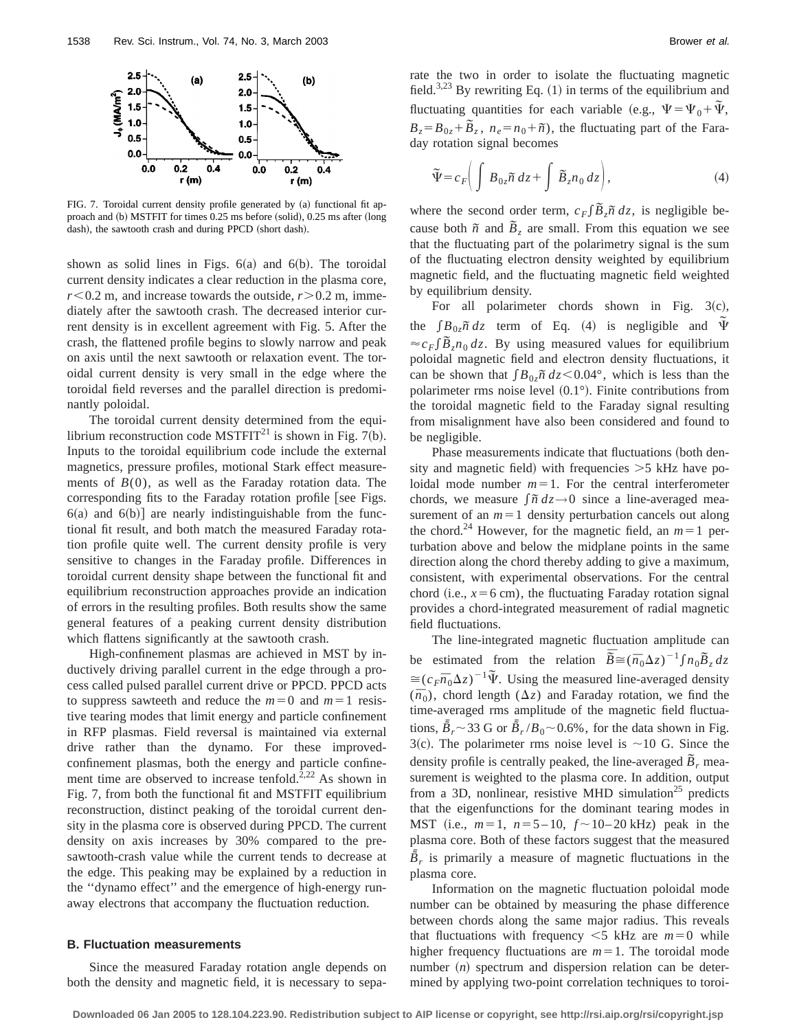

FIG. 7. Toroidal current density profile generated by (a) functional fit approach and  $(b)$  MSTFIT for times  $0.25$  ms before  $(solid)$ ,  $0.25$  ms after  $(long)$ dash), the sawtooth crash and during PPCD (short dash).

shown as solid lines in Figs.  $6(a)$  and  $6(b)$ . The toroidal current density indicates a clear reduction in the plasma core, *r*,0.2 m, and increase towards the outside, *r*.0.2 m, immediately after the sawtooth crash. The decreased interior current density is in excellent agreement with Fig. 5. After the crash, the flattened profile begins to slowly narrow and peak on axis until the next sawtooth or relaxation event. The toroidal current density is very small in the edge where the toroidal field reverses and the parallel direction is predominantly poloidal.

The toroidal current density determined from the equilibrium reconstruction code MSTFIT<sup>21</sup> is shown in Fig. 7(b). Inputs to the toroidal equilibrium code include the external magnetics, pressure profiles, motional Stark effect measurements of  $B(0)$ , as well as the Faraday rotation data. The corresponding fits to the Faraday rotation profile [see Figs.  $6(a)$  and  $6(b)$ ] are nearly indistinguishable from the functional fit result, and both match the measured Faraday rotation profile quite well. The current density profile is very sensitive to changes in the Faraday profile. Differences in toroidal current density shape between the functional fit and equilibrium reconstruction approaches provide an indication of errors in the resulting profiles. Both results show the same general features of a peaking current density distribution which flattens significantly at the sawtooth crash.

High-confinement plasmas are achieved in MST by inductively driving parallel current in the edge through a process called pulsed parallel current drive or PPCD. PPCD acts to suppress sawteeth and reduce the  $m=0$  and  $m=1$  resistive tearing modes that limit energy and particle confinement in RFP plasmas. Field reversal is maintained via external drive rather than the dynamo. For these improvedconfinement plasmas, both the energy and particle confinement time are observed to increase tenfold.<sup>2,22</sup> As shown in Fig. 7, from both the functional fit and MSTFIT equilibrium reconstruction, distinct peaking of the toroidal current density in the plasma core is observed during PPCD. The current density on axis increases by 30% compared to the presawtooth-crash value while the current tends to decrease at the edge. This peaking may be explained by a reduction in the ''dynamo effect'' and the emergence of high-energy runaway electrons that accompany the fluctuation reduction.

# **B. Fluctuation measurements**

Since the measured Faraday rotation angle depends on both the density and magnetic field, it is necessary to separate the two in order to isolate the fluctuating magnetic field.<sup>3,23</sup> By rewriting Eq.  $(1)$  in terms of the equilibrium and fluctuating quantities for each variable (e.g.,  $\Psi = \Psi_0 + \tilde{\Psi}$ ,  $B_z = B_{0z} + \overline{B}_z$ ,  $n_e = n_0 + \overline{n}$ , the fluctuating part of the Faraday rotation signal becomes

$$
\widetilde{\Psi} = c_F \bigg( \int B_{0z} \widetilde{n} \, dz + \int \widetilde{B}_z n_0 \, dz \bigg), \tag{4}
$$

where the second order term,  $c_F \int \tilde{B}_z \tilde{n} \, dz$ , is negligible because both  $\tilde{n}$  and  $\tilde{B}_z$  are small. From this equation we see that the fluctuating part of the polarimetry signal is the sum of the fluctuating electron density weighted by equilibrium magnetic field, and the fluctuating magnetic field weighted by equilibrium density.

For all polarimeter chords shown in Fig.  $3(c)$ , the  $\int B_{0z} \tilde{n} dz$  term of Eq. (4) is negligible and  $\Psi$  $\approx c_F f \tilde{B}_z n_0 dz$ . By using measured values for equilibrium poloidal magnetic field and electron density fluctuations, it can be shown that  $\int B_{0z} \tilde{n} dz \leq 0.04^{\circ}$ , which is less than the polarimeter rms noise level  $(0.1^{\circ})$ . Finite contributions from the toroidal magnetic field to the Faraday signal resulting from misalignment have also been considered and found to be negligible.

Phase measurements indicate that fluctuations (both density and magnetic field) with frequencies  $>5$  kHz have poloidal mode number  $m=1$ . For the central interferometer chords, we measure  $\int \tilde{n} \, dz \rightarrow 0$  since a line-averaged measurement of an  $m=1$  density perturbation cancels out along the chord.<sup>24</sup> However, for the magnetic field, an  $m=1$  perturbation above and below the midplane points in the same direction along the chord thereby adding to give a maximum, consistent, with experimental observations. For the central chord (i.e.,  $x=6$  cm), the fluctuating Faraday rotation signal provides a chord-integrated measurement of radial magnetic field fluctuations.

The line-integrated magnetic fluctuation amplitude can be estimated from the relation  $\overline{\tilde{B}} \cong (\overline{n}_0 \Delta z)^{-1} \int n_0 \overline{B}_z dz$  $\approx(c_F\overline{n}_0\Delta z)^{-1}\tilde{\Psi}$ . Using the measured line-averaged density  $(\bar{n}_0)$ , chord length  $(\Delta z)$  and Faraday rotation, we find the time-averaged rms amplitude of the magnetic field fluctuations,  $\bar{\tilde{B}}_r \sim 33$  G or  $\bar{\tilde{B}}_r / B_0 \sim 0.6\%$ , for the data shown in Fig. 3(c). The polarimeter rms noise level is  $\sim$ 10 G. Since the density profile is centrally peaked, the line-averaged  $\tilde{B}_r$  measurement is weighted to the plasma core. In addition, output from a 3D, nonlinear, resistive MHD simulation<sup>25</sup> predicts that the eigenfunctions for the dominant tearing modes in MST (i.e.,  $m=1$ ,  $n=5-10$ ,  $f \sim 10-20$  kHz) peak in the plasma core. Both of these factors suggest that the measured  $\tilde{B}_r$  is primarily a measure of magnetic fluctuations in the plasma core.

Information on the magnetic fluctuation poloidal mode number can be obtained by measuring the phase difference between chords along the same major radius. This reveals that fluctuations with frequency  $\leq$ 5 kHz are  $m=0$  while higher frequency fluctuations are  $m=1$ . The toroidal mode number  $(n)$  spectrum and dispersion relation can be determined by applying two-point correlation techniques to toroi-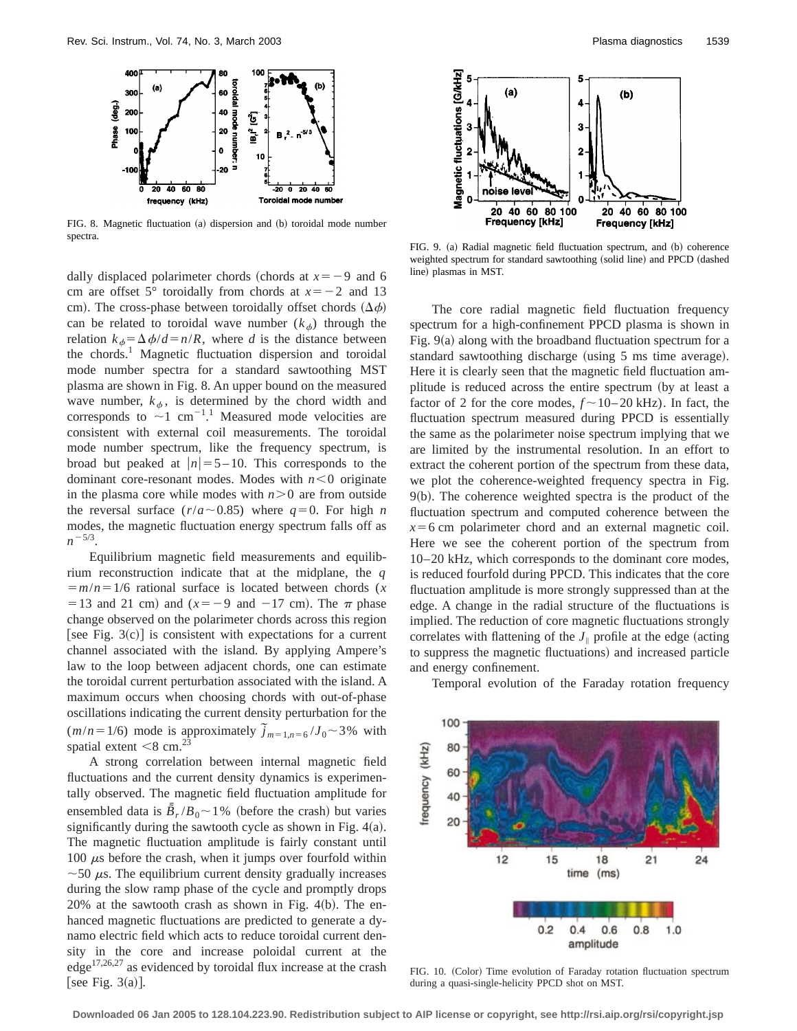

FIG. 8. Magnetic fluctuation (a) dispersion and (b) toroidal mode number spectra.

dally displaced polarimeter chords (chords at  $x=-9$  and 6 cm are offset 5° toroidally from chords at  $x=-2$  and 13 cm). The cross-phase between toroidally offset chords  $(\Delta \phi)$ can be related to toroidal wave number  $(k_{\phi})$  through the relation  $k_{\phi} = \Delta \phi / d = n/R$ , where *d* is the distance between the chords.<sup>1</sup> Magnetic fluctuation dispersion and toroidal mode number spectra for a standard sawtoothing MST plasma are shown in Fig. 8. An upper bound on the measured wave number,  $k_{\phi}$ , is determined by the chord width and corresponds to  $\sim$ 1 cm<sup>-11</sup>. Measured mode velocities are consistent with external coil measurements. The toroidal mode number spectrum, like the frequency spectrum, is broad but peaked at  $|n|=5-10$ . This corresponds to the dominant core-resonant modes. Modes with  $n < 0$  originate in the plasma core while modes with  $n>0$  are from outside the reversal surface  $(r/a \sim 0.85)$  where  $q=0$ . For high *n* modes, the magnetic fluctuation energy spectrum falls off as  $n^{-5/3}$ .

Equilibrium magnetic field measurements and equilibrium reconstruction indicate that at the midplane, the *q*  $\frac{5}{2}$  = *m*/*n* = 1/6 rational surface is located between chords (*x* = 13 and 21 cm) and  $(x=-9$  and  $-17$  cm). The  $\pi$  phase change observed on the polarimeter chords across this region [see Fig. 3(c)] is consistent with expectations for a current channel associated with the island. By applying Ampere's law to the loop between adjacent chords, one can estimate the toroidal current perturbation associated with the island. A maximum occurs when choosing chords with out-of-phase oscillations indicating the current density perturbation for the  $(m/n = 1/6)$  mode is approximately  $\tilde{j}_{m=1,n=6}/J_0 \sim 3\%$  with spatial extent  $\leq 8$  cm.<sup>23</sup>

A strong correlation between internal magnetic field fluctuations and the current density dynamics is experimentally observed. The magnetic field fluctuation amplitude for ensembled data is  $\bar{B}_r / B_0 \sim 1\%$  (before the crash) but varies significantly during the sawtooth cycle as shown in Fig.  $4(a)$ . The magnetic fluctuation amplitude is fairly constant until 100  $\mu$ s before the crash, when it jumps over fourfold within  $\sim$  50  $\mu$ s. The equilibrium current density gradually increases during the slow ramp phase of the cycle and promptly drops  $20%$  at the sawtooth crash as shown in Fig. 4(b). The enhanced magnetic fluctuations are predicted to generate a dynamo electric field which acts to reduce toroidal current density in the core and increase poloidal current at the edge17,26,27 as evidenced by toroidal flux increase at the crash [see Fig.  $3(a)$ ].



FIG. 9. (a) Radial magnetic field fluctuation spectrum, and (b) coherence weighted spectrum for standard sawtoothing (solid line) and PPCD (dashed line) plasmas in MST.

The core radial magnetic field fluctuation frequency spectrum for a high-confinement PPCD plasma is shown in Fig.  $9(a)$  along with the broadband fluctuation spectrum for a standard sawtoothing discharge (using 5 ms time average). Here it is clearly seen that the magnetic field fluctuation amplitude is reduced across the entire spectrum (by at least a factor of 2 for the core modes,  $f \sim 10-20$  kHz). In fact, the fluctuation spectrum measured during PPCD is essentially the same as the polarimeter noise spectrum implying that we are limited by the instrumental resolution. In an effort to extract the coherent portion of the spectrum from these data, we plot the coherence-weighted frequency spectra in Fig.  $9(b)$ . The coherence weighted spectra is the product of the fluctuation spectrum and computed coherence between the  $x=6$  cm polarimeter chord and an external magnetic coil. Here we see the coherent portion of the spectrum from 10–20 kHz, which corresponds to the dominant core modes, is reduced fourfold during PPCD. This indicates that the core fluctuation amplitude is more strongly suppressed than at the edge. A change in the radial structure of the fluctuations is implied. The reduction of core magnetic fluctuations strongly correlates with flattening of the  $J_{\parallel}$  profile at the edge (acting to suppress the magnetic fluctuations) and increased particle and energy confinement.

Temporal evolution of the Faraday rotation frequency



FIG. 10. (Color) Time evolution of Faraday rotation fluctuation spectrum during a quasi-single-helicity PPCD shot on MST.

**Downloaded 06 Jan 2005 to 128.104.223.90. Redistribution subject to AIP license or copyright, see http://rsi.aip.org/rsi/copyright.jsp**